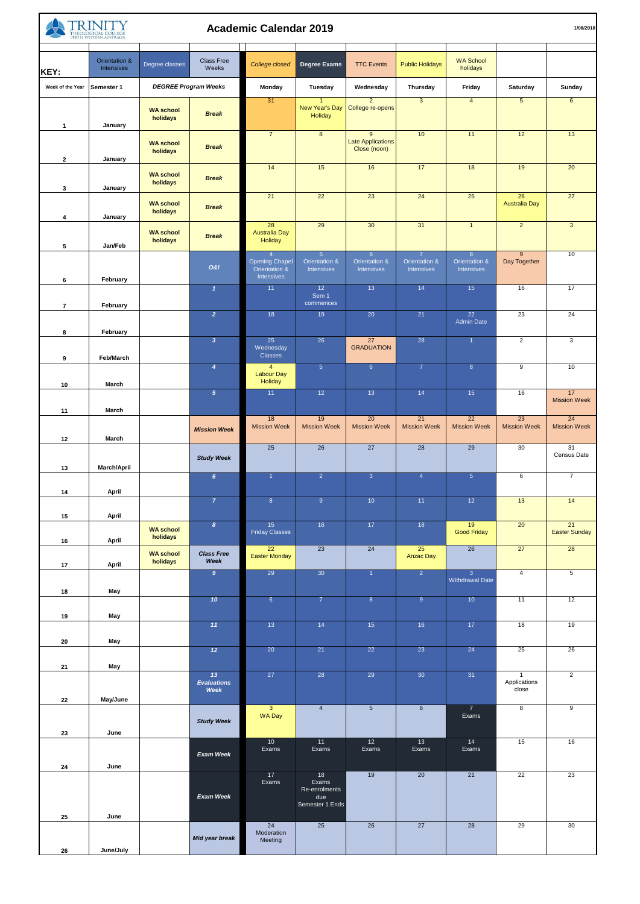|                  | THEOLOGICAL COLLEGE<br><b>Academic Calendar 2019</b> |                              |                                                      |                                                             |                                                        |                                               |                                                      |                                         | 1/08/2018                  |                            |
|------------------|------------------------------------------------------|------------------------------|------------------------------------------------------|-------------------------------------------------------------|--------------------------------------------------------|-----------------------------------------------|------------------------------------------------------|-----------------------------------------|----------------------------|----------------------------|
| <b>KEY:</b>      | Orientation &<br>Intensives                          | Degree classes               | <b>Class Free</b><br>Weeks                           | College closed                                              | <b>Degree Exams</b>                                    | <b>TTC Events</b>                             | <b>Public Holidays</b>                               | <b>WA School</b><br>holidays            |                            |                            |
| Week of the Year | Semester 1                                           |                              | <b>DEGREE Program Weeks</b>                          | <b>Monday</b>                                               | <b>Tuesday</b>                                         | Wednesday                                     | Thursday                                             | Friday                                  | <b>Saturday</b>            | <b>Sunday</b>              |
| $\mathbf{1}$     | January                                              | <b>WA school</b><br>holidays | <b>Break</b>                                         | 31                                                          | $\overline{1}$<br>New Year's Day<br>Holiday            | $\overline{2}$<br>College re-opens            | $\mathbf{3}$                                         | $\overline{4}$                          | $\sqrt{5}$                 | 6                          |
| $\mathbf{2}$     | January                                              | <b>WA school</b><br>holidays | <b>Break</b>                                         | $\overline{7}$                                              | 8                                                      | 9<br><b>Late Applications</b><br>Close (noon) | 10                                                   | 11                                      | 12                         | 13                         |
| 3                | January                                              | <b>WA school</b><br>holidays | <b>Break</b>                                         | 14                                                          | 15                                                     | 16                                            | 17                                                   | 18                                      | 19                         | $\overline{20}$            |
| 4                | January                                              | <b>WA school</b><br>holidays | <b>Break</b>                                         | 21                                                          | $\overline{22}$                                        | 23                                            | 24                                                   | $\overline{25}$                         | 26<br><b>Australia Day</b> | 27                         |
| 5                | Jan/Feb                                              | <b>WA school</b><br>holidays | <b>Break</b>                                         | 28<br><b>Australia Day</b><br>Holiday                       | 29                                                     | 30                                            | 31                                                   | $\overline{1}$                          | $\overline{2}$             | 3                          |
| 6                | February                                             |                              | 0&1                                                  | <b>Opening Chapel</b><br>Orientation &<br><b>Intensives</b> | 5 <sup>1</sup><br>Orientation &<br>Intensives          | 6 <sup>°</sup><br>Orientation &<br>Intensives | $\overline{7}$<br>Orientation &<br><b>Intensives</b> | 8<br>Orientation &<br><b>Intensives</b> | 9<br>Day Together          | 10                         |
| $\overline{7}$   | February                                             |                              | $\mathbf{1}$                                         | 11                                                          | 12<br>Sem 1<br>commences                               | 13                                            | 14                                                   | 15                                      | 16                         | 17                         |
| 8                | February                                             |                              | $\overline{2}$                                       | 18                                                          | 19                                                     | 20                                            | 21                                                   | 22<br><b>Admin Date</b>                 | $\overline{23}$            | 24                         |
| $\overline{9}$   | Feb/March                                            |                              | $\mathbf{3}$                                         | 25<br>Wednesday<br>Classes                                  | 26                                                     | 27<br><b>GRADUATION</b>                       | 28                                                   | $\vert$ 1                               | $\overline{2}$             | 3                          |
| $10$             | March                                                |                              | $\overline{4}$                                       | $\overline{4}$<br><b>Labour Day</b><br>Holiday              | 5 <sup>1</sup>                                         | 6 <sup>°</sup>                                | $\overline{7}$                                       | 8 <sup>°</sup>                          | $\overline{9}$             | 10                         |
| 11               | March                                                |                              | ${\bf 5}$                                            | 11                                                          | 12                                                     | 13                                            | 14                                                   | 15                                      | 16                         | 17<br><b>Mission Week</b>  |
| 12               | March                                                |                              | <b>Mission Week</b>                                  | $\overline{18}$<br><b>Mission Week</b>                      | $\overline{19}$<br><b>Mission Week</b>                 | 20<br><b>Mission Week</b>                     | $\overline{21}$<br><b>Mission Week</b>               | 22<br><b>Mission Week</b>               | 23<br><b>Mission Week</b>  | 24<br><b>Mission Week</b>  |
| 13               | <b>March/April</b>                                   |                              | <b>Study Week</b>                                    | $\overline{25}$                                             | 26                                                     | 27                                            | $\overline{28}$                                      | 29                                      | 30                         | 31<br>Census Date          |
| 14               | April                                                |                              | $6\overline{6}$                                      | $\overline{1}$                                              | $\overline{2}$                                         | $\overline{3}$                                | $\overline{4}$                                       | 5 <sub>5</sub>                          | 6                          | $\overline{7}$             |
| 15               | April                                                |                              | $\overline{7}$                                       | 8<br>15                                                     | $9\,$<br>16                                            | 10<br>17                                      | 11<br>18                                             | 12<br>19                                | 13<br>$\overline{20}$      | 14<br>21                   |
| 16               | <b>April</b>                                         | <b>WA school</b><br>holidays | $\pmb{8}$                                            | <b>Friday Classes</b><br>22                                 | 23                                                     | 24                                            | $\overline{25}$                                      | <b>Good Friday</b><br>26                | $\overline{27}$            | <b>Easter Sunday</b><br>28 |
| 17               | April                                                | <b>WA school</b><br>holidays | <b>Class Free</b><br>Week<br>$\overline{\mathbf{9}}$ | <b>Easter Monday</b><br>29                                  | 30                                                     | $\mathbf{1}$                                  | <b>Anzac Day</b><br>$\overline{2}$                   | $\overline{3}$                          | $\overline{4}$             | $\sqrt{5}$                 |
| 18               | May                                                  |                              |                                                      |                                                             |                                                        |                                               |                                                      | <b>Withdrawal Date</b>                  |                            |                            |
| 19               | May                                                  |                              | 10<br>11                                             | $\sqrt{6}$<br>13                                            | $\overline{7}$<br>14                                   | $\bf 8$<br>15                                 | $\overline{9}$<br>16                                 | 10<br>17                                | 11<br>18                   | 12<br>19                   |
| 20               | May                                                  |                              | 12                                                   | 20                                                          | 21                                                     | 22                                            | 23                                                   | 24                                      | $\overline{25}$            | 26                         |
| 21               | May                                                  |                              | 13                                                   | 27                                                          | 28                                                     | 29                                            | 30 <sup>°</sup>                                      | 31                                      | $\overline{1}$             | $\overline{2}$             |
| ${\bf 22}$       | May/June                                             |                              | <b>Evaluations</b><br>Week                           |                                                             |                                                        |                                               |                                                      |                                         | Applications<br>close      |                            |
| 23               | June                                                 |                              | <b>Study Week</b>                                    | $\mathbf{3}$<br><b>WA Day</b>                               | $\overline{4}$                                         | $\overline{5}$                                | $6\phantom{1}$                                       | $\overline{7}$<br>Exams                 | 8                          | 9                          |
|                  |                                                      |                              | <b>Exam Week</b>                                     | 10<br>Exams                                                 | 11<br>Exams                                            | 12<br>Exams                                   | 13<br>Exams                                          | 14<br>Exams                             | 15                         | 16                         |
| ${\bf 24}$       | June                                                 |                              | <b>Exam Week</b>                                     | 17<br>Exams                                                 | 18<br>Exams<br>Re-enrolments<br>due<br>Semester 1 Ends | $\overline{19}$                               | 20                                                   | $\overline{21}$                         | 22                         | 23                         |
| ${\bf 25}$       | June                                                 |                              | Mid year break                                       | 24<br>Moderation<br>Meeting                                 | $\overline{25}$                                        | $\overline{26}$                               | 27                                                   | 28                                      | 29                         | 30                         |
| 26               | June/July                                            |                              |                                                      |                                                             |                                                        |                                               |                                                      |                                         |                            |                            |